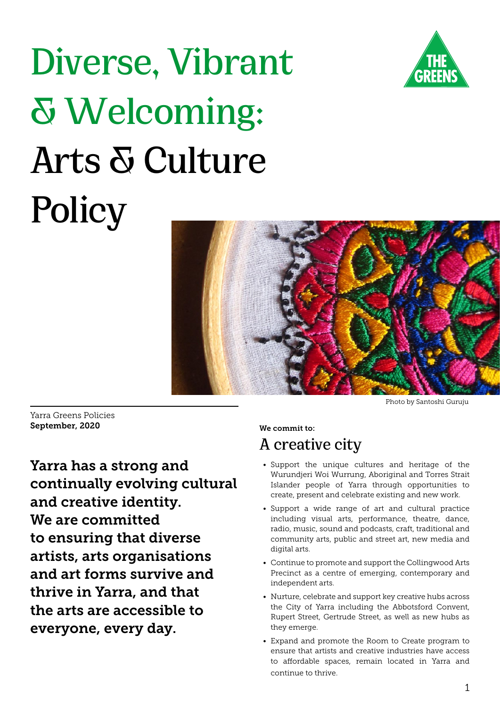

# **Diverse, Vibrant & Welcoming: Arts & Culture Policy**



Yarra Greens Policies September, 2020

Yarra has a strong and continually evolving cultural and creative identity. We are committed to ensuring that diverse artists, arts organisations and art forms survive and thrive in Yarra, and that the arts are accessible to everyone, every day.

Photo by Santoshi Guruju

## **A creative city**

We commit to:

- Support the unique cultures and heritage of the Wurundjeri Woi Wurrung, Aboriginal and Torres Strait Islander people of Yarra through opportunities to create, present and celebrate existing and new work.
- Support a wide range of art and cultural practice including visual arts, performance, theatre, dance, radio, music, sound and podcasts, craft, traditional and community arts, public and street art, new media and digital arts.
- Continue to promote and support the Collingwood Arts Precinct as a centre of emerging, contemporary and independent arts.
- Nurture, celebrate and support key creative hubs across the City of Yarra including the Abbotsford Convent, Rupert Street, Gertrude Street, as well as new hubs as they emerge.
- Expand and promote the Room to Create program to ensure that artists and creative industries have access to affordable spaces, remain located in Yarra and continue to thrive.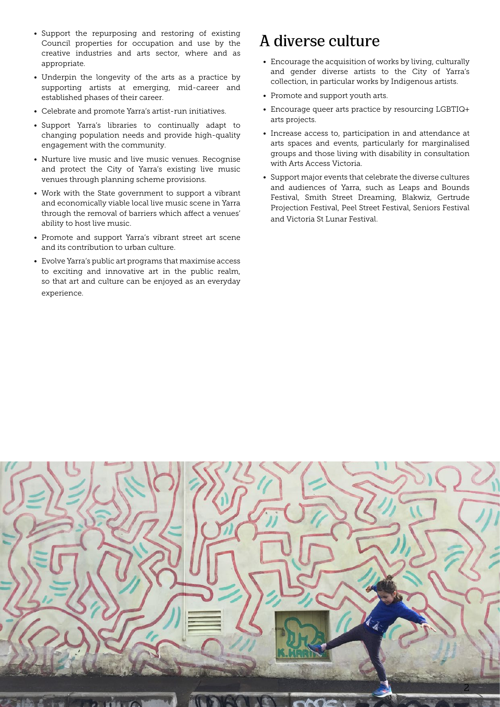- Support the repurposing and restoring of existing Council properties for occupation and use by the creative industries and arts sector, where and as appropriate.
- Underpin the longevity of the arts as a practice by supporting artists at emerging, mid-career and established phases of their career.
- Celebrate and promote Yarra's artist-run initiatives.
- Support Yarra's libraries to continually adapt to changing population needs and provide high-quality engagement with the community.
- Nurture live music and live music venues. Recognise and protect the City of Yarra's existing live music venues through planning scheme provisions.
- Work with the State government to support a vibrant and economically viable local live music scene in Yarra through the removal of barriers which affect a venues' ability to host live music.
- Promote and support Yarra's vibrant street art scene and its contribution to urban culture.
- Evolve Yarra's public art programs that maximise access to exciting and innovative art in the public realm, so that art and culture can be enjoyed as an everyday experience.

#### **A diverse culture**

- Encourage the acquisition of works by living, culturally and gender diverse artists to the City of Yarra's collection, in particular works by Indigenous artists.
- Promote and support youth arts.
- Encourage queer arts practice by resourcing LGBTIQ+ arts projects.
- Increase access to, participation in and attendance at arts spaces and events, particularly for marginalised groups and those living with disability in consultation with Arts Access Victoria.
- Support major events that celebrate the diverse cultures and audiences of Yarra, such as Leaps and Bounds Festival, Smith Street Dreaming, Blakwiz, Gertrude Projection Festival, Peel Street Festival, Seniors Festival and Victoria St Lunar Festival.